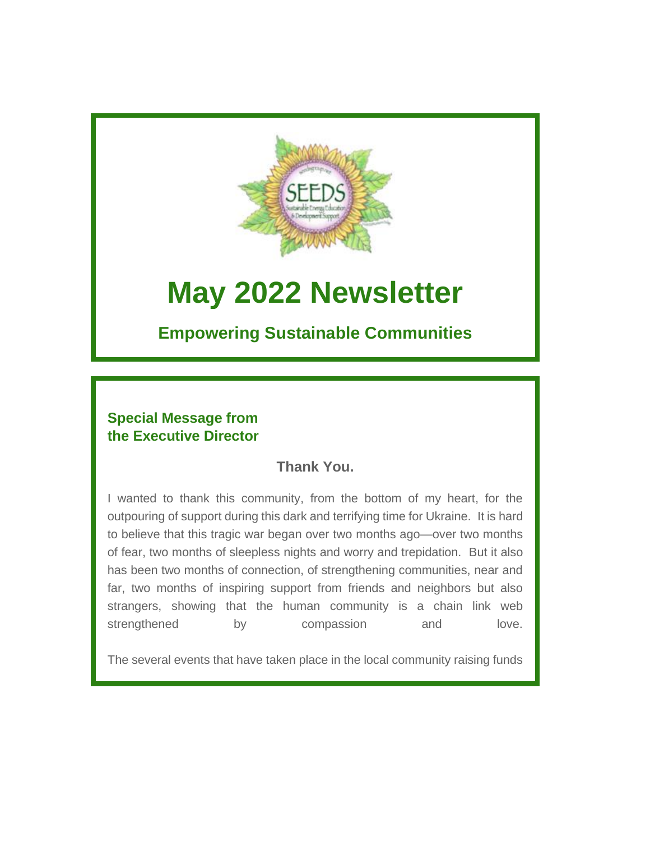

# **May 2022 Newsletter**

# **Empowering Sustainable Communities**

# **Special Message from the Executive Director**

# **Thank You.**

I wanted to thank this community, from the bottom of my heart, for the outpouring of support during this dark and terrifying time for Ukraine. It is hard to believe that this tragic war began over two months ago—over two months of fear, two months of sleepless nights and worry and trepidation. But it also has been two months of connection, of strengthening communities, near and far, two months of inspiring support from friends and neighbors but also strangers, showing that the human community is a chain link web strengthened by compassion and love.

The several events that have taken place in the local community raising funds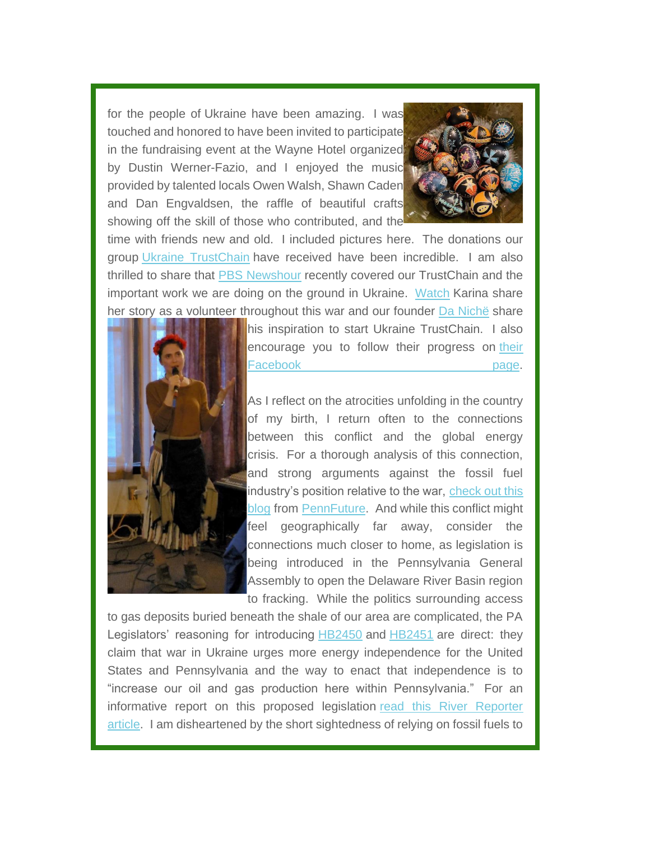for the people of Ukraine have been amazing. I was touched and honored to have been invited to participate in the fundraising event at the Wayne Hotel organized by Dustin Werner-Fazio, and I enjoyed the music provided by talented locals Owen Walsh, Shawn Caden and Dan Engvaldsen, the raffle of beautiful crafts showing off the skill of those who contributed, and the



time with friends new and old. I included pictures here. The donations our group [Ukraine TrustChain](https://seedsgroup.us4.list-manage.com/track/click?u=2de0c21d43d0fd0237e9e7b4f&id=63b2a3d274&e=95734a3485) have received have been incredible. I am also thrilled to share that [PBS Newshour](https://seedsgroup.us4.list-manage.com/track/click?u=2de0c21d43d0fd0237e9e7b4f&id=73141a8061&e=95734a3485) recently covered our TrustChain and the important work we are doing on the ground in Ukraine. [Watch](https://seedsgroup.us4.list-manage.com/track/click?u=2de0c21d43d0fd0237e9e7b4f&id=55bc16d177&e=95734a3485) Karina share her story as a volunteer throughout this war and our founder [Da Nichë](https://seedsgroup.us4.list-manage.com/track/click?u=2de0c21d43d0fd0237e9e7b4f&id=e44d72630d&e=95734a3485) share



his inspiration to start Ukraine TrustChain. I also encourage you to follow their progress on [their](https://seedsgroup.us4.list-manage.com/track/click?u=2de0c21d43d0fd0237e9e7b4f&id=5f95a03ca4&e=95734a3485)  Facebook **page.** 

As I reflect on the atrocities unfolding in the country of my birth, I return often to the connections between this conflict and the global energy crisis. For a thorough analysis of this connection, and strong arguments against the fossil fuel industry's position relative to the war, [check out this](https://seedsgroup.us4.list-manage.com/track/click?u=2de0c21d43d0fd0237e9e7b4f&id=13e1b1f6da&e=95734a3485)  [blog](https://seedsgroup.us4.list-manage.com/track/click?u=2de0c21d43d0fd0237e9e7b4f&id=13e1b1f6da&e=95734a3485) from [PennFuture.](https://seedsgroup.us4.list-manage.com/track/click?u=2de0c21d43d0fd0237e9e7b4f&id=fa22f79a4b&e=95734a3485) And while this conflict might feel geographically far away, consider the connections much closer to home, as legislation is being introduced in the Pennsylvania General Assembly to open the Delaware River Basin region to fracking. While the politics surrounding access

to gas deposits buried beneath the shale of our area are complicated, the PA Legislators' reasoning for introducing [HB2450](https://seedsgroup.us4.list-manage.com/track/click?u=2de0c21d43d0fd0237e9e7b4f&id=4dd252259b&e=95734a3485) and [HB2451](https://seedsgroup.us4.list-manage.com/track/click?u=2de0c21d43d0fd0237e9e7b4f&id=ff05e62d2b&e=95734a3485) are direct: they claim that war in Ukraine urges more energy independence for the United States and Pennsylvania and the way to enact that independence is to "increase our oil and gas production here within Pennsylvania." For an informative report on this proposed legislation [read this River Reporter](https://seedsgroup.us4.list-manage.com/track/click?u=2de0c21d43d0fd0237e9e7b4f&id=552e0e915e&e=95734a3485)  [article.](https://seedsgroup.us4.list-manage.com/track/click?u=2de0c21d43d0fd0237e9e7b4f&id=552e0e915e&e=95734a3485) I am disheartened by the short sightedness of relying on fossil fuels to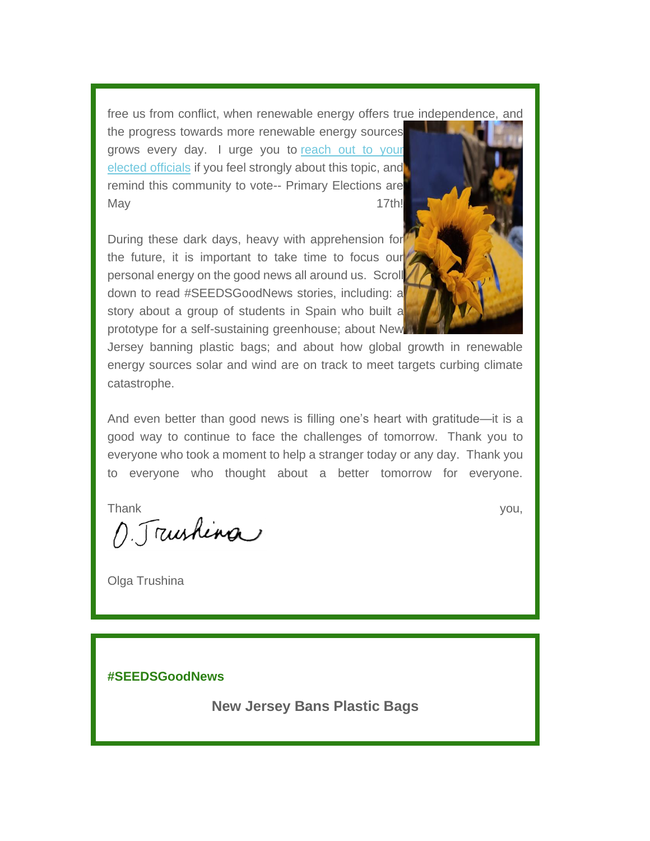free us from conflict, when renewable energy offers true independence, and

the progress towards more renewable energy sources grows every day. I urge you to [reach out to your](https://seedsgroup.us4.list-manage.com/track/click?u=2de0c21d43d0fd0237e9e7b4f&id=f8cac36433&e=95734a3485)  [elected](https://seedsgroup.us4.list-manage.com/track/click?u=2de0c21d43d0fd0237e9e7b4f&id=f8cac36433&e=95734a3485) [officials](https://seedsgroup.us4.list-manage.com/track/click?u=2de0c21d43d0fd0237e9e7b4f&id=9c97914069&e=95734a3485) if you feel strongly about this topic, and remind this community to vote-- Primary Elections are May 2012 2013 2022 2022 2023 2024 2022 2022 2023 2024 2022 2023 2024 2022 2023 2024 2022 2023 2024 2022 2023 20

During these dark days, heavy with apprehension for the future, it is important to take time to focus our personal energy on the good news all around us. Scroll down to read #SEEDSGoodNews stories, including: a story about a group of students in Spain who built a prototype for a self-sustaining greenhouse; about New



Jersey banning plastic bags; and about how global growth in renewable energy sources solar and wind are on track to meet targets curbing climate catastrophe.

And even better than good news is filling one's heart with gratitude—it is a good way to continue to face the challenges of tomorrow. Thank you to everyone who took a moment to help a stranger today or any day. Thank you to everyone who thought about a better tomorrow for everyone.

Thank you,

Olga Trushina

**#SEEDSGoodNews**

**New Jersey Bans Plastic Bags**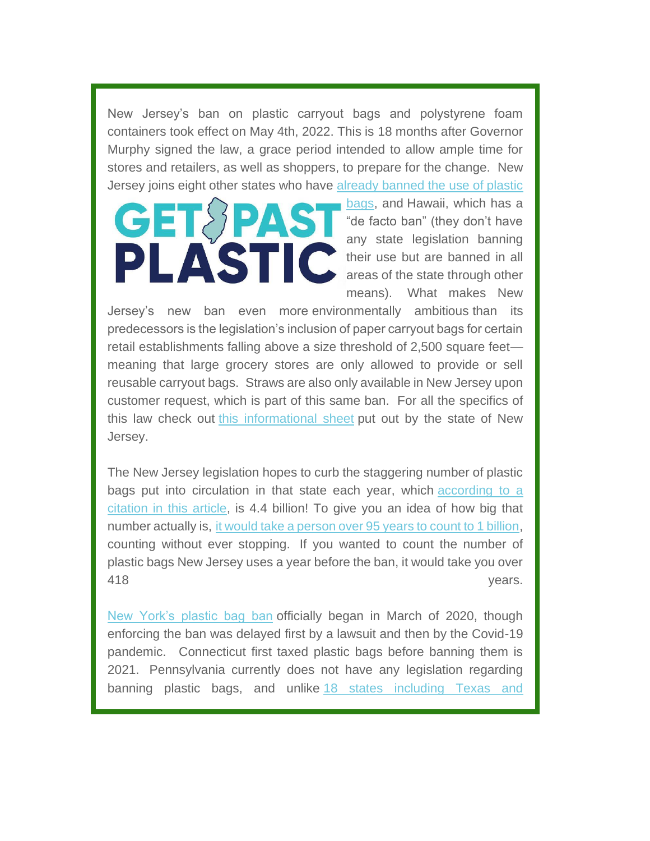New Jersey's ban on plastic carryout bags and polystyrene foam containers took effect on May 4th, 2022. This is 18 months after Governor Murphy signed the law, a grace period intended to allow ample time for stores and retailers, as well as shoppers, to prepare for the change. New Jersey joins eight other states who have [already banned the use of plastic](https://seedsgroup.us4.list-manage.com/track/click?u=2de0c21d43d0fd0237e9e7b4f&id=625f54afef&e=95734a3485) 

[bags,](https://seedsgroup.us4.list-manage.com/track/click?u=2de0c21d43d0fd0237e9e7b4f&id=625f54afef&e=95734a3485) and Hawaii, which has a "de facto ban" (they don't have any state legislation banning their use but are banned in all areas of the state through other means). What makes New

Jersey's new ban even more environmentally ambitious than its predecessors is the legislation's inclusion of paper carryout bags for certain retail establishments falling above a size threshold of 2,500 square feet meaning that large grocery stores are only allowed to provide or sell reusable carryout bags. Straws are also only available in New Jersey upon customer request, which is part of this same ban. For all the specifics of this law check out [this informational sheet](https://seedsgroup.us4.list-manage.com/track/click?u=2de0c21d43d0fd0237e9e7b4f&id=0c99c0b993&e=95734a3485) put out by the state of New Jersey.

The New Jersey legislation hopes to curb the staggering number of plastic bags put into circulation in that state each year, which [according to a](https://seedsgroup.us4.list-manage.com/track/click?u=2de0c21d43d0fd0237e9e7b4f&id=bb1652b123&e=95734a3485)  [citation in this article,](https://seedsgroup.us4.list-manage.com/track/click?u=2de0c21d43d0fd0237e9e7b4f&id=bb1652b123&e=95734a3485) is 4.4 billion! To give you an idea of how big that number actually is, [it would take a person over 95 years to count to 1 billion,](https://seedsgroup.us4.list-manage.com/track/click?u=2de0c21d43d0fd0237e9e7b4f&id=d51343e8cb&e=95734a3485) counting without ever stopping. If you wanted to count the number of plastic bags New Jersey uses a year before the ban, it would take you over As the set of the set of the set of the set of the set of the set of the set of the set of the set of the set of the set of the set of the set of the set of the set of the set of the set of the set of the set of the set of

[New York's plastic bag ban](https://seedsgroup.us4.list-manage.com/track/click?u=2de0c21d43d0fd0237e9e7b4f&id=19262e6cb6&e=95734a3485) officially began in March of 2020, though enforcing the ban was delayed first by a lawsuit and then by the Covid-19 pandemic. Connecticut first taxed plastic bags before banning them is 2021. Pennsylvania currently does not have any legislation regarding banning plastic bags, and unlike [18 states including Texas and](https://seedsgroup.us4.list-manage.com/track/click?u=2de0c21d43d0fd0237e9e7b4f&id=26165c9d7c&e=95734a3485)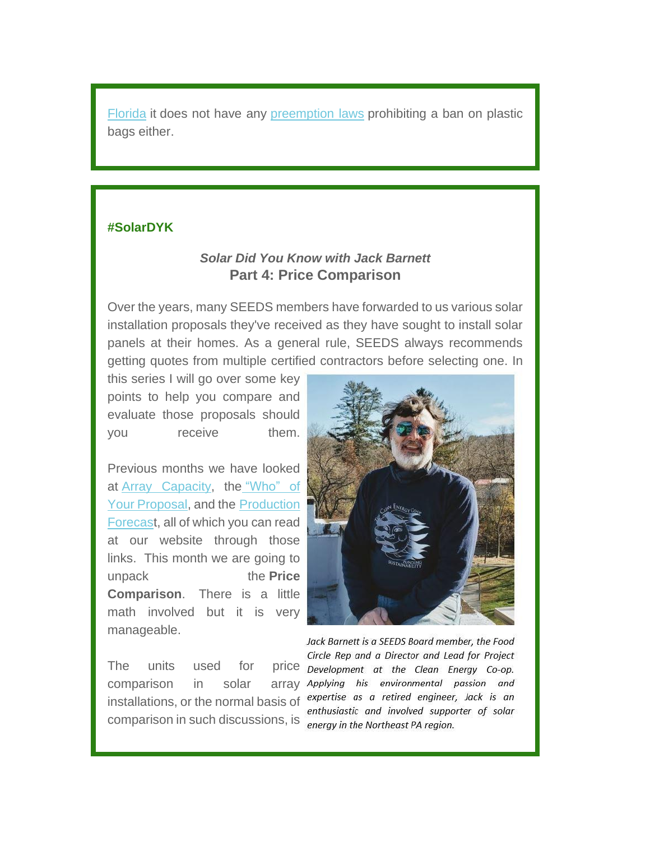[Florida](https://seedsgroup.us4.list-manage.com/track/click?u=2de0c21d43d0fd0237e9e7b4f&id=26165c9d7c&e=95734a3485) it does not have any [preemption laws](https://seedsgroup.us4.list-manage.com/track/click?u=2de0c21d43d0fd0237e9e7b4f&id=87b18becbd&e=95734a3485) prohibiting a ban on plastic bags either.

#### **#SolarDYK**

# *Solar Did You Know with Jack Barnett* **Part 4: Price Comparison**

Over the years, many SEEDS members have forwarded to us various solar installation proposals they've received as they have sought to install solar panels at their homes. As a general rule, SEEDS always recommends getting quotes from multiple certified contractors before selecting one. In

this series I will go over some key points to help you compare and evaluate those proposals should you receive them.

Previous months we have looked at [Array Capacity,](https://seedsgroup.us4.list-manage.com/track/click?u=2de0c21d43d0fd0237e9e7b4f&id=618e628c67&e=95734a3485) the ["Who" of](https://seedsgroup.us4.list-manage.com/track/click?u=2de0c21d43d0fd0237e9e7b4f&id=aba4573c29&e=95734a3485)  [Your Proposal,](https://seedsgroup.us4.list-manage.com/track/click?u=2de0c21d43d0fd0237e9e7b4f&id=aba4573c29&e=95734a3485) and the [Production](https://seedsgroup.us4.list-manage.com/track/click?u=2de0c21d43d0fd0237e9e7b4f&id=b046a126ae&e=95734a3485)  [Forecast](https://seedsgroup.us4.list-manage.com/track/click?u=2de0c21d43d0fd0237e9e7b4f&id=b046a126ae&e=95734a3485), all of which you can read at our website through those links. This month we are going to unpack the **Price Comparison**. There is a little math involved but it is very manageable.

comparison in solar array installations, or the normal basis of comparison in such discussions, is energy in the Northeast PA region.



Jack Barnett is a SEEDS Board member, the Food Circle Rep and a Director and Lead for Project The units used for price Development at the Clean Energy Co-op. enthusiastic and involved supporter of solar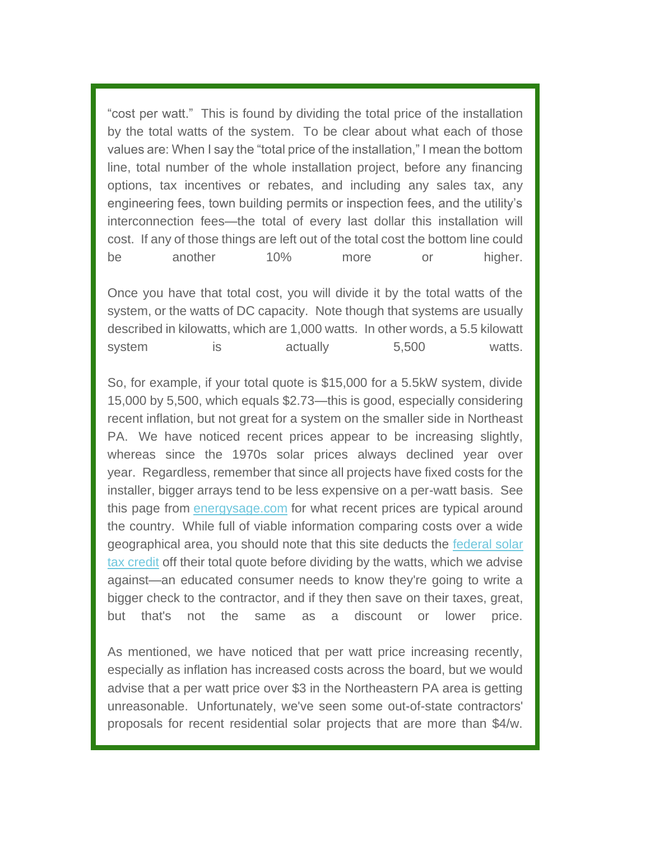"cost per watt." This is found by dividing the total price of the installation by the total watts of the system. To be clear about what each of those values are: When I say the "total price of the installation," I mean the bottom line, total number of the whole installation project, before any financing options, tax incentives or rebates, and including any sales tax, any engineering fees, town building permits or inspection fees, and the utility's interconnection fees—the total of every last dollar this installation will cost. If any of those things are left out of the total cost the bottom line could be another 10% more or higher.

Once you have that total cost, you will divide it by the total watts of the system, or the watts of DC capacity. Note though that systems are usually described in kilowatts, which are 1,000 watts. In other words, a 5.5 kilowatt system is actually 5,500 watts.

So, for example, if your total quote is \$15,000 for a 5.5kW system, divide 15,000 by 5,500, which equals \$2.73—this is good, especially considering recent inflation, but not great for a system on the smaller side in Northeast PA. We have noticed recent prices appear to be increasing slightly, whereas since the 1970s solar prices always declined year over year. Regardless, remember that since all projects have fixed costs for the installer, bigger arrays tend to be less expensive on a per-watt basis. See this page from [energysage.com](https://seedsgroup.us4.list-manage.com/track/click?u=2de0c21d43d0fd0237e9e7b4f&id=261dd46dc8&e=95734a3485) for what recent prices are typical around the country. While full of viable information comparing costs over a wide geographical area, you should note that this site deducts the [federal solar](https://seedsgroup.us4.list-manage.com/track/click?u=2de0c21d43d0fd0237e9e7b4f&id=ae92e8ba79&e=95734a3485)  [tax credit](https://seedsgroup.us4.list-manage.com/track/click?u=2de0c21d43d0fd0237e9e7b4f&id=ae92e8ba79&e=95734a3485) off their total quote before dividing by the watts, which we advise against—an educated consumer needs to know they're going to write a bigger check to the contractor, and if they then save on their taxes, great, but that's not the same as a discount or lower price.

As mentioned, we have noticed that per watt price increasing recently, especially as inflation has increased costs across the board, but we would advise that a per watt price over \$3 in the Northeastern PA area is getting unreasonable. Unfortunately, we've seen some out-of-state contractors' proposals for recent residential solar projects that are more than \$4/w.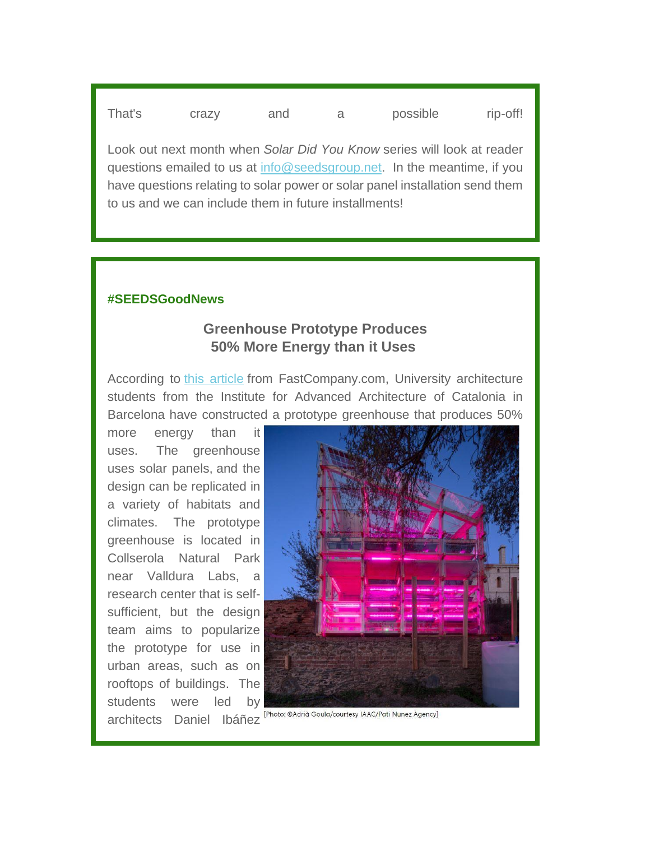That's crazy and a possible rip-off!

Look out next month when *Solar Did You Know* series will look at reader questions emailed to us at [info@seedsgroup.net.](mailto:info@seedsgroup.net) In the meantime, if you have questions relating to solar power or solar panel installation send them to us and we can include them in future installments!

### **#SEEDSGoodNews**

# **Greenhouse Prototype Produces 50% More Energy than it Uses**

According to [this article](https://seedsgroup.us4.list-manage.com/track/click?u=2de0c21d43d0fd0237e9e7b4f&id=2ebba00fff&e=95734a3485) from FastCompany.com, University architecture students from the Institute for Advanced Architecture of Catalonia in Barcelona have constructed a prototype greenhouse that produces 50%

more energy than it uses. The greenhouse uses solar panels, and the design can be replicated in a variety of habitats and climates. The prototype greenhouse is located in Collserola Natural Park near Valldura Labs, [a](https://seedsgroup.us4.list-manage.com/track/click?u=2de0c21d43d0fd0237e9e7b4f&id=e851ae0a58&e=95734a3485)  research center that is selfsufficient, but the design team aims to popularize the prototype for use in urban areas, such as on rooftops of buildings. The students were led by architects Daniel Ibáñez [Photo: @Adrià Goulg/courtesy IAAC/Pati Nunez Agency]

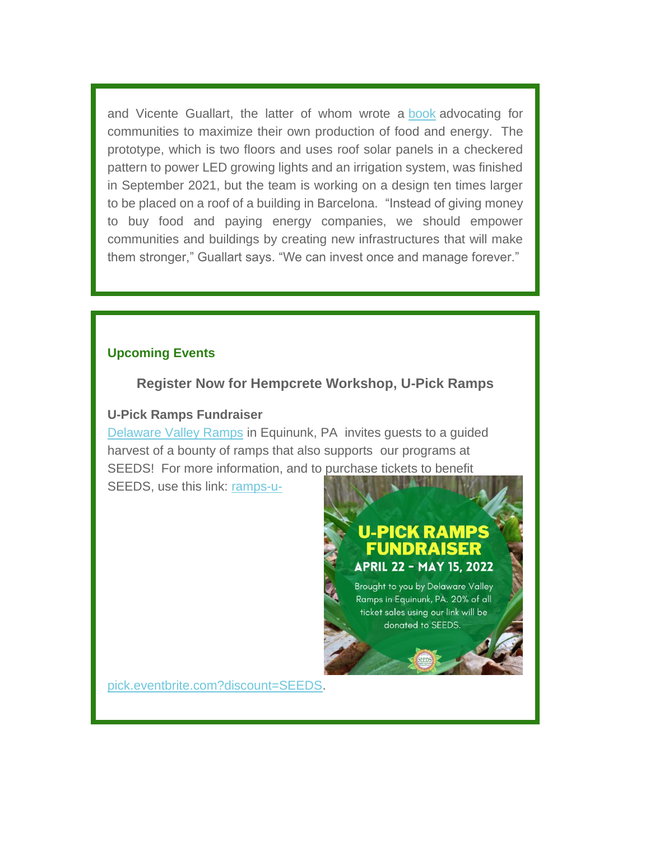and Vicente Guallart, the latter of whom wrote a [book](https://seedsgroup.us4.list-manage.com/track/click?u=2de0c21d43d0fd0237e9e7b4f&id=e15c2018bd&e=95734a3485) advocating for communities to maximize their own production of food and energy. The prototype, which is two floors and uses roof solar panels in a checkered pattern to power LED growing lights and an irrigation system, was finished in September 2021, but the team is working on a design ten times larger to be placed on a roof of a building in Barcelona. "Instead of giving money to buy food and paying energy companies, we should empower communities and buildings by creating new infrastructures that will make them stronger," Guallart says. "We can invest once and manage forever."

#### **Upcoming Events**

### **Register Now for Hempcrete Workshop, U-Pick Ramps**

#### **U-Pick Ramps Fundraiser**

[Delaware Valley Ramps](https://seedsgroup.us4.list-manage.com/track/click?u=2de0c21d43d0fd0237e9e7b4f&id=be3377143d&e=95734a3485) in Equinunk, PA invites guests to a guided harvest of a bounty of ramps that also supports our programs at SEEDS! For more information, and to purchase tickets to benefit SEEDS, use this link: [ramps-u-](https://seedsgroup.us4.list-manage.com/track/click?u=2de0c21d43d0fd0237e9e7b4f&id=5b247eb70a&e=95734a3485)

# U-PICK RAMPS FUNDRAISER **APRIL 22 - MAY 15, 2022**

Brought to you by Delaware Valley Ramps in Equinunk, PA. 20% of all ticket sales using our link will be donated to SEEDS.

[pick.eventbrite.com?discount=SEEDS.](https://seedsgroup.us4.list-manage.com/track/click?u=2de0c21d43d0fd0237e9e7b4f&id=5b247eb70a&e=95734a3485)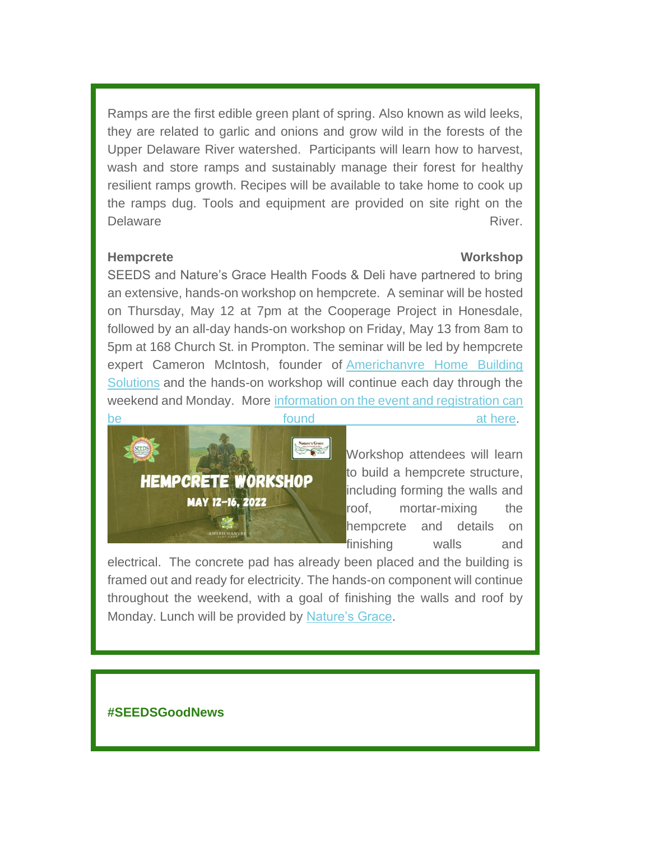Ramps are the first edible green plant of spring. Also known as wild leeks, they are related to garlic and onions and grow wild in the forests of the Upper Delaware River watershed. Participants will learn how to harvest, wash and store ramps and sustainably manage their forest for healthy resilient ramps growth. Recipes will be available to take home to cook up the ramps dug. Tools and equipment are provided on site right on the Delaware **River.** The extent of the extent of the extent of the extent of the River.

#### **Hempcrete Workshop**

SEEDS and Nature's Grace Health Foods & Deli have partnered to bring an extensive, hands-on workshop on hempcrete. A seminar will be hosted on Thursday, May 12 at 7pm at the Cooperage Project in Honesdale, followed by an all-day hands-on workshop on Friday, May 13 from 8am to 5pm at 168 Church St. in Prompton. The seminar will be led by hempcrete expert Cameron McIntosh, founder of [Americhanvre Home Building](https://seedsgroup.us4.list-manage.com/track/click?u=2de0c21d43d0fd0237e9e7b4f&id=cdc145bf7d&e=95734a3485)  [Solutions](https://seedsgroup.us4.list-manage.com/track/click?u=2de0c21d43d0fd0237e9e7b4f&id=cdc145bf7d&e=95734a3485) and the hands-on workshop will continue each day through the weekend and Monday. More [information on the event and registration can](https://seedsgroup.us4.list-manage.com/track/click?u=2de0c21d43d0fd0237e9e7b4f&id=71de2525b3&e=95734a3485)  [be found at](https://seedsgroup.us4.list-manage.com/track/click?u=2de0c21d43d0fd0237e9e7b4f&id=71de2525b3&e=95734a3485) [here.](https://seedsgroup.us4.list-manage.com/track/click?u=2de0c21d43d0fd0237e9e7b4f&id=b80c0f8aa9&e=95734a3485)



Workshop attendees will learn to build a hempcrete structure, including forming the walls and roof, mortar-mixing the hempcrete and details on finishing walls and

electrical. The concrete pad has already been placed and the building is framed out and ready for electricity. The hands-on component will continue throughout the weekend, with a goal of finishing the walls and roof by Monday. Lunch will be provided by [Nature's Grace.](https://seedsgroup.us4.list-manage.com/track/click?u=2de0c21d43d0fd0237e9e7b4f&id=3a1e6aa452&e=95734a3485)

### **#SEEDSGoodNews**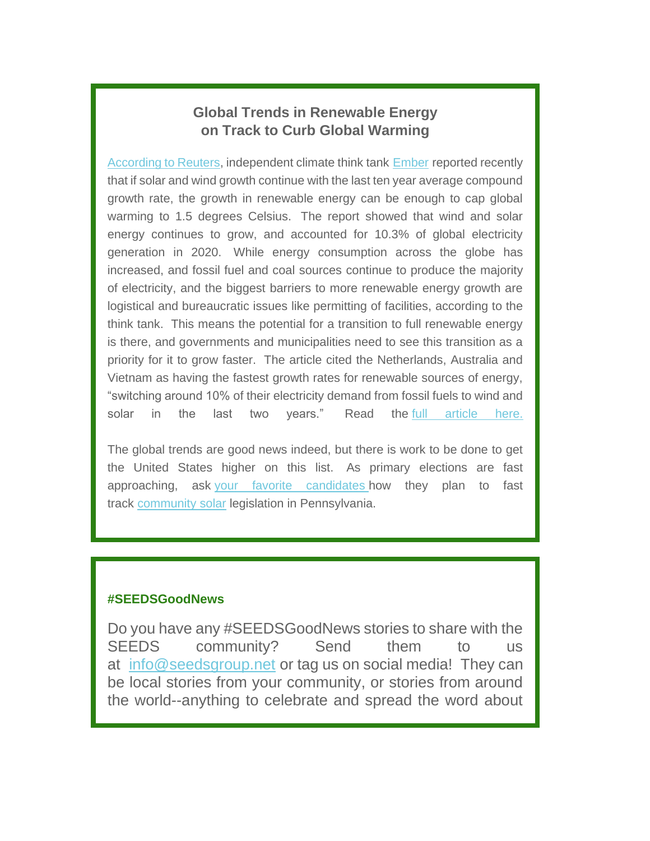# **Global Trends in Renewable Energy on Track to Curb Global Warming**

[According to Reuters,](https://seedsgroup.us4.list-manage.com/track/click?u=2de0c21d43d0fd0237e9e7b4f&id=429b0a00d1&e=95734a3485) independent climate think tank [Ember](https://seedsgroup.us4.list-manage.com/track/click?u=2de0c21d43d0fd0237e9e7b4f&id=7adb36630a&e=95734a3485) reported recently that if solar and wind growth continue with the last ten year average compound growth rate, the growth in renewable energy can be enough to cap global warming to 1.5 degrees Celsius. The report showed that wind and solar energy continues to grow, and accounted for 10.3% of global electricity generation in 2020. While energy consumption across the globe has increased, and fossil fuel and coal sources continue to produce the majority of electricity, and the biggest barriers to more renewable energy growth are logistical and bureaucratic issues like permitting of facilities, according to the think tank. This means the potential for a transition to full renewable energy is there, and governments and municipalities need to see this transition as a priority for it to grow faster. The article cited the Netherlands, Australia and Vietnam as having the fastest growth rates for renewable sources of energy, "switching around 10% of their electricity demand from fossil fuels to wind and solar in the last two years." Read the [full article here.](https://seedsgroup.us4.list-manage.com/track/click?u=2de0c21d43d0fd0237e9e7b4f&id=523df81896&e=95734a3485)

The global trends are good news indeed, but there is work to be done to get the United States higher on this list. As primary elections are fast approaching, ask [your favorite candidates](https://seedsgroup.us4.list-manage.com/track/click?u=2de0c21d43d0fd0237e9e7b4f&id=36be1521b5&e=95734a3485) how they plan to fast track [community solar](https://seedsgroup.us4.list-manage.com/track/click?u=2de0c21d43d0fd0237e9e7b4f&id=d121439c16&e=95734a3485) legislation in Pennsylvania.

#### **#SEEDSGoodNews**

Do you have any #SEEDSGoodNews stories to share with the SEEDS community? Send them to us at [info@seedsgroup.net](mailto:info@seedsgroup.net) or tag us on social media! They can be local stories from your community, or stories from around the world--anything to celebrate and spread the word about